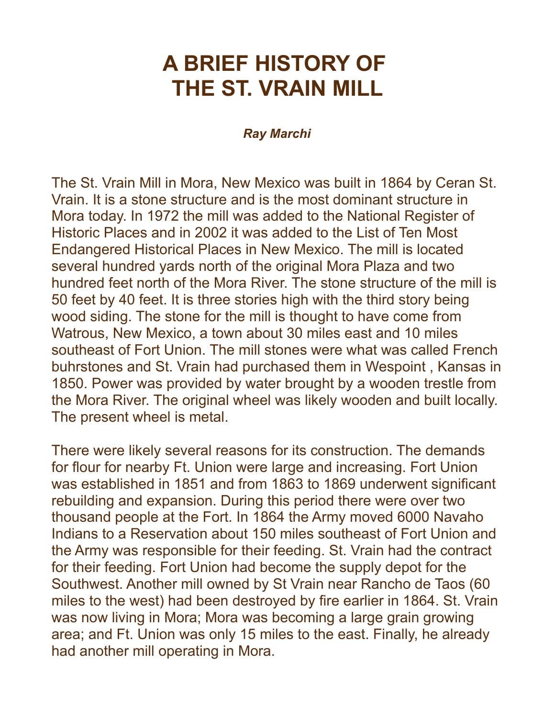## **A BRIEF HISTORY OF THE ST. VRAIN MILL**

## *Ray Marchi*

The St. Vrain Mill in Mora, New Mexico was built in 1864 by Ceran St. Vrain. It is a stone structure and is the most dominant structure in Mora today. In 1972 the mill was added to the National Register of Historic Places and in 2002 it was added to the List of Ten Most Endangered Historical Places in New Mexico. The mill is located several hundred yards north of the original Mora Plaza and two hundred feet north of the Mora River. The stone structure of the mill is 50 feet by 40 feet. It is three stories high with the third story being wood siding. The stone for the mill is thought to have come from Watrous, New Mexico, a town about 30 miles east and 10 miles southeast of Fort Union. The mill stones were what was called French buhrstones and St. Vrain had purchased them in Wespoint , Kansas in 1850. Power was provided by water brought by a wooden trestle from the Mora River. The original wheel was likely wooden and built locally. The present wheel is metal.

There were likely several reasons for its construction. The demands for flour for nearby Ft. Union were large and increasing. Fort Union was established in 1851 and from 1863 to 1869 underwent significant rebuilding and expansion. During this period there were over two thousand people at the Fort. In 1864 the Army moved 6000 Navaho Indians to a Reservation about 150 miles southeast of Fort Union and the Army was responsible for their feeding. St. Vrain had the contract for their feeding. Fort Union had become the supply depot for the Southwest. Another mill owned by St Vrain near Rancho de Taos (60 miles to the west) had been destroyed by fire earlier in 1864. St. Vrain was now living in Mora; Mora was becoming a large grain growing area; and Ft. Union was only 15 miles to the east. Finally, he already had another mill operating in Mora.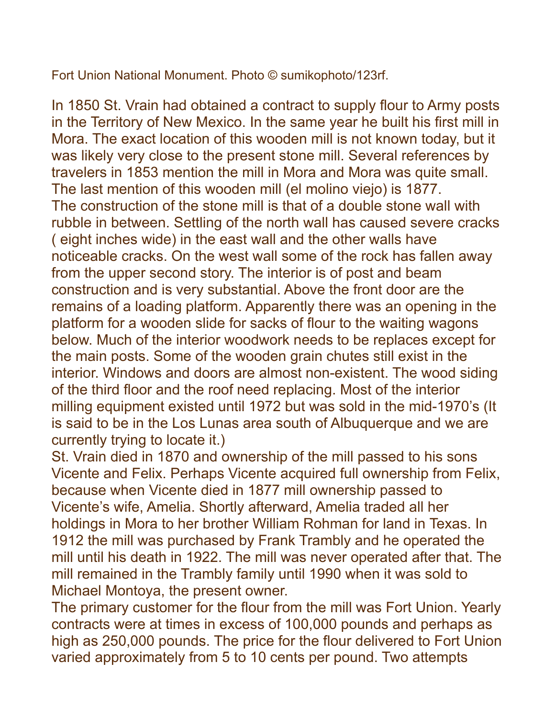Fort Union National Monument. Photo © sumikophoto/123rf.

In 1850 St. Vrain had obtained a contract to supply flour to Army posts in the Territory of New Mexico. In the same year he built his first mill in Mora. The exact location of this wooden mill is not known today, but it was likely very close to the present stone mill. Several references by travelers in 1853 mention the mill in Mora and Mora was quite small. The last mention of this wooden mill (el molino viejo) is 1877. The construction of the stone mill is that of a double stone wall with rubble in between. Settling of the north wall has caused severe cracks ( eight inches wide) in the east wall and the other walls have noticeable cracks. On the west wall some of the rock has fallen away from the upper second story. The interior is of post and beam construction and is very substantial. Above the front door are the remains of a loading platform. Apparently there was an opening in the platform for a wooden slide for sacks of flour to the waiting wagons below. Much of the interior woodwork needs to be replaces except for the main posts. Some of the wooden grain chutes still exist in the interior. Windows and doors are almost non-existent. The wood siding of the third floor and the roof need replacing. Most of the interior milling equipment existed until 1972 but was sold in the mid-1970's (It is said to be in the Los Lunas area south of Albuquerque and we are currently trying to locate it.)

St. Vrain died in 1870 and ownership of the mill passed to his sons Vicente and Felix. Perhaps Vicente acquired full ownership from Felix, because when Vicente died in 1877 mill ownership passed to Vicente's wife, Amelia. Shortly afterward, Amelia traded all her holdings in Mora to her brother William Rohman for land in Texas. In 1912 the mill was purchased by Frank Trambly and he operated the mill until his death in 1922. The mill was never operated after that. The mill remained in the Trambly family until 1990 when it was sold to Michael Montoya, the present owner.

The primary customer for the flour from the mill was Fort Union. Yearly contracts were at times in excess of 100,000 pounds and perhaps as high as 250,000 pounds. The price for the flour delivered to Fort Union varied approximately from 5 to 10 cents per pound. Two attempts